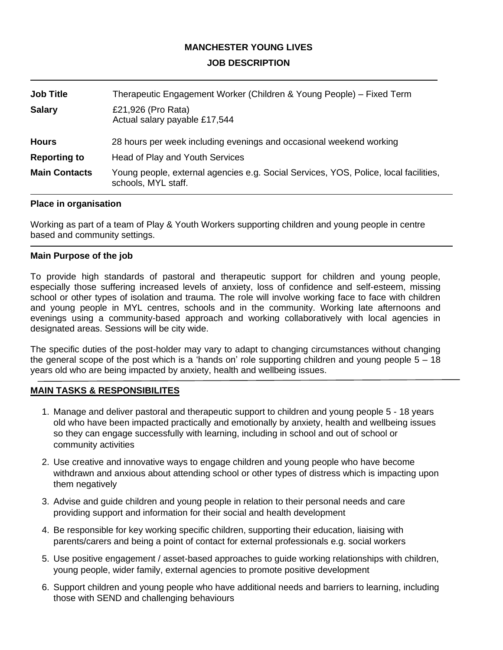## **MANCHESTER YOUNG LIVES JOB DESCRIPTION**

| <b>Job Title</b>     | Therapeutic Engagement Worker (Children & Young People) – Fixed Term                                        |
|----------------------|-------------------------------------------------------------------------------------------------------------|
| <b>Salary</b>        | £21,926 (Pro Rata)<br>Actual salary payable £17,544                                                         |
| <b>Hours</b>         | 28 hours per week including evenings and occasional weekend working                                         |
| <b>Reporting to</b>  | Head of Play and Youth Services                                                                             |
| <b>Main Contacts</b> | Young people, external agencies e.g. Social Services, YOS, Police, local facilities,<br>schools, MYL staff. |

### **Place in organisation**

Working as part of a team of Play & Youth Workers supporting children and young people in centre based and community settings.

### **Main Purpose of the job**

To provide high standards of pastoral and therapeutic support for children and young people, especially those suffering increased levels of anxiety, loss of confidence and self-esteem, missing school or other types of isolation and trauma. The role will involve working face to face with children and young people in MYL centres, schools and in the community. Working late afternoons and evenings using a community-based approach and working collaboratively with local agencies in designated areas. Sessions will be city wide.

The specific duties of the post-holder may vary to adapt to changing circumstances without changing the general scope of the post which is a 'hands on' role supporting children and young people 5 – 18 years old who are being impacted by anxiety, health and wellbeing issues.

### **MAIN TASKS & RESPONSIBILITES**

- 1. Manage and deliver pastoral and therapeutic support to children and young people 5 18 years old who have been impacted practically and emotionally by anxiety, health and wellbeing issues so they can engage successfully with learning, including in school and out of school or community activities
- 2. Use creative and innovative ways to engage children and young people who have become withdrawn and anxious about attending school or other types of distress which is impacting upon them negatively
- 3. Advise and guide children and young people in relation to their personal needs and care providing support and information for their social and health development
- 4. Be responsible for key working specific children, supporting their education, liaising with parents/carers and being a point of contact for external professionals e.g. social workers
- 5. Use positive engagement / asset-based approaches to guide working relationships with children, young people, wider family, external agencies to promote positive development
- 6. Support children and young people who have additional needs and barriers to learning, including those with SEND and challenging behaviours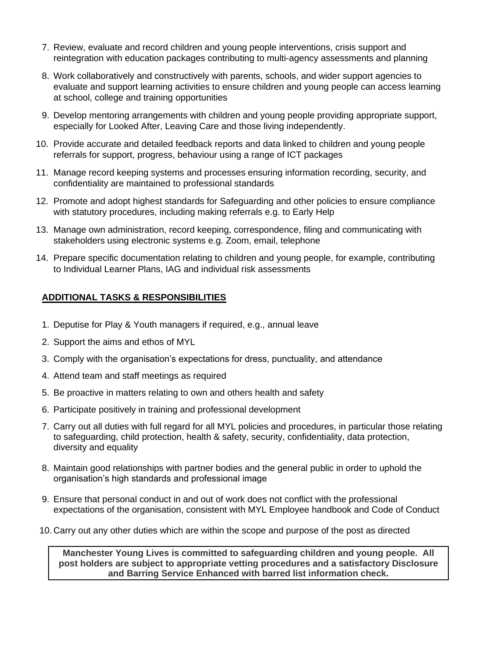- 7. Review, evaluate and record children and young people interventions, crisis support and reintegration with education packages contributing to multi-agency assessments and planning
- 8. Work collaboratively and constructively with parents, schools, and wider support agencies to evaluate and support learning activities to ensure children and young people can access learning at school, college and training opportunities
- 9. Develop mentoring arrangements with children and young people providing appropriate support, especially for Looked After, Leaving Care and those living independently.
- 10. Provide accurate and detailed feedback reports and data linked to children and young people referrals for support, progress, behaviour using a range of ICT packages
- 11. Manage record keeping systems and processes ensuring information recording, security, and confidentiality are maintained to professional standards
- 12. Promote and adopt highest standards for Safeguarding and other policies to ensure compliance with statutory procedures, including making referrals e.g. to Early Help
- 13. Manage own administration, record keeping, correspondence, filing and communicating with stakeholders using electronic systems e.g. Zoom, email, telephone
- 14. Prepare specific documentation relating to children and young people, for example, contributing to Individual Learner Plans, IAG and individual risk assessments

## **ADDITIONAL TASKS & RESPONSIBILITIES**

- 1. Deputise for Play & Youth managers if required, e.g., annual leave
- 2. Support the aims and ethos of MYL
- 3. Comply with the organisation's expectations for dress, punctuality, and attendance
- 4. Attend team and staff meetings as required
- 5. Be proactive in matters relating to own and others health and safety
- 6. Participate positively in training and professional development
- 7. Carry out all duties with full regard for all MYL policies and procedures, in particular those relating to safeguarding, child protection, health & safety, security, confidentiality, data protection, diversity and equality
- 8. Maintain good relationships with partner bodies and the general public in order to uphold the organisation's high standards and professional image
- 9. Ensure that personal conduct in and out of work does not conflict with the professional expectations of the organisation, consistent with MYL Employee handbook and Code of Conduct
- 10. Carry out any other duties which are within the scope and purpose of the post as directed

**Manchester Young Lives is committed to safeguarding children and young people. All post holders are subject to appropriate vetting procedures and a satisfactory Disclosure and Barring Service Enhanced with barred list information check.**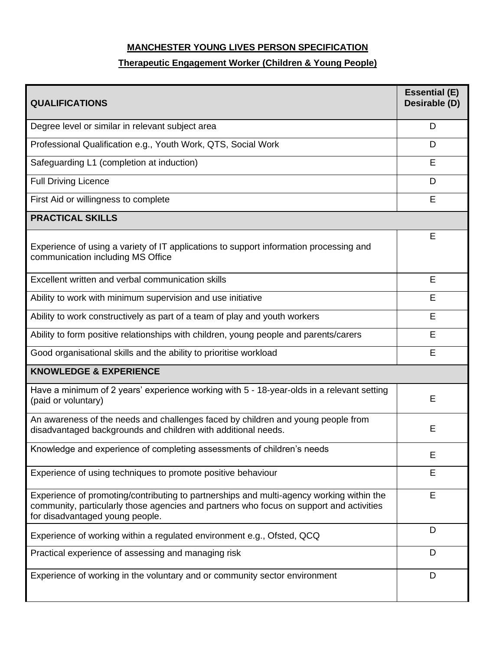# **MANCHESTER YOUNG LIVES PERSON SPECIFICATION**

# **Therapeutic Engagement Worker (Children & Young People)**

| <b>QUALIFICATIONS</b>                                                                                                                                                                                                  | <b>Essential (E)</b><br>Desirable (D) |  |  |
|------------------------------------------------------------------------------------------------------------------------------------------------------------------------------------------------------------------------|---------------------------------------|--|--|
| Degree level or similar in relevant subject area                                                                                                                                                                       | D                                     |  |  |
| Professional Qualification e.g., Youth Work, QTS, Social Work                                                                                                                                                          | D                                     |  |  |
| Safeguarding L1 (completion at induction)                                                                                                                                                                              | Е                                     |  |  |
| <b>Full Driving Licence</b>                                                                                                                                                                                            | D                                     |  |  |
| First Aid or willingness to complete                                                                                                                                                                                   | E                                     |  |  |
| <b>PRACTICAL SKILLS</b>                                                                                                                                                                                                |                                       |  |  |
| Experience of using a variety of IT applications to support information processing and<br>communication including MS Office                                                                                            | E                                     |  |  |
| Excellent written and verbal communication skills                                                                                                                                                                      | E                                     |  |  |
| Ability to work with minimum supervision and use initiative                                                                                                                                                            | Е                                     |  |  |
| Ability to work constructively as part of a team of play and youth workers                                                                                                                                             | E                                     |  |  |
| Ability to form positive relationships with children, young people and parents/carers                                                                                                                                  | Е                                     |  |  |
| Good organisational skills and the ability to prioritise workload                                                                                                                                                      | E                                     |  |  |
| <b>KNOWLEDGE &amp; EXPERIENCE</b>                                                                                                                                                                                      |                                       |  |  |
| Have a minimum of 2 years' experience working with 5 - 18-year-olds in a relevant setting<br>(paid or voluntary)                                                                                                       | E                                     |  |  |
| An awareness of the needs and challenges faced by children and young people from<br>disadvantaged backgrounds and children with additional needs.                                                                      | E                                     |  |  |
| Knowledge and experience of completing assessments of children's needs                                                                                                                                                 | Ε                                     |  |  |
| Experience of using techniques to promote positive behaviour                                                                                                                                                           | Е                                     |  |  |
| Experience of promoting/contributing to partnerships and multi-agency working within the<br>community, particularly those agencies and partners who focus on support and activities<br>for disadvantaged young people. | E                                     |  |  |
| Experience of working within a regulated environment e.g., Ofsted, QCQ                                                                                                                                                 | D                                     |  |  |
| Practical experience of assessing and managing risk                                                                                                                                                                    | D                                     |  |  |
| Experience of working in the voluntary and or community sector environment                                                                                                                                             | D                                     |  |  |